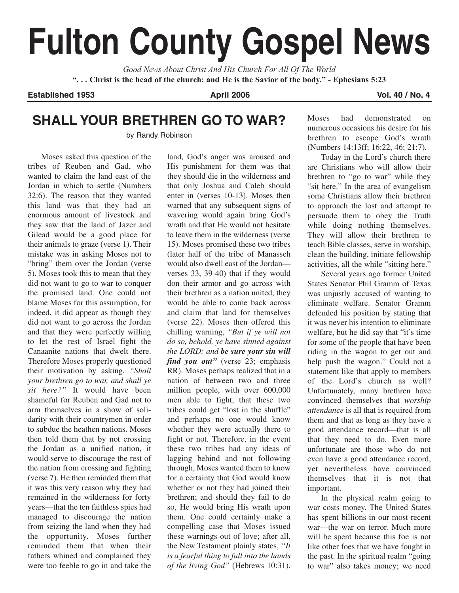# **Fulton County Gospel News**

*Good News About Christ And His Church For All Of The World* **". . . Christ is the head of the church: and He is the Savior of the body." - Ephesians 5:23**

**Established 1953 April 2006 Vol. 40 / No. 4 Vol. 40 / No. 4** 

# **SHALL YOUR BRETHREN GO TO WAR?**

by Randy Robinson

Moses asked this question of the tribes of Reuben and Gad, who wanted to claim the land east of the Jordan in which to settle (Numbers 32:6). The reason that they wanted this land was that they had an enormous amount of livestock and they saw that the land of Jazer and Gilead would be a good place for their animals to graze (verse 1). Their mistake was in asking Moses not to "bring" them over the Jordan (verse 5). Moses took this to mean that they did not want to go to war to conquer the promised land. One could not blame Moses for this assumption, for indeed, it did appear as though they did not want to go across the Jordan and that they were perfectly willing to let the rest of Israel fight the Canaanite nations that dwelt there. Therefore Moses properly questioned their motivation by asking, *"Shall your brethren go to war, and shall ye sit here?"* It would have been shameful for Reuben and Gad not to arm themselves in a show of solidarity with their countrymen in order to subdue the heathen nations. Moses then told them that by not crossing the Jordan as a unified nation, it would serve to discourage the rest of the nation from crossing and fighting (verse 7). He then reminded them that it was this very reason why they had remained in the wilderness for forty years—that the ten faithless spies had managed to discourage the nation from seizing the land when they had the opportunity. Moses further reminded them that when their fathers whined and complained they were too feeble to go in and take the

land, God's anger was aroused and His punishment for them was that they should die in the wilderness and that only Joshua and Caleb should enter in (verses 10-13). Moses then warned that any subsequent signs of wavering would again bring God's wrath and that He would not hesitate to leave them in the wilderness (verse 15). Moses promised these two tribes (later half of the tribe of Manasseh would also dwell east of the Jordan verses 33, 39-40) that if they would don their armor and go across with their brethren as a nation united, they would be able to come back across and claim that land for themselves (verse 22). Moses then offered this chilling warning, *"But if ye will not do so, behold, ye have sinned against the LORD: and be sure your sin will find you out"* (verse 23; emphasis RR). Moses perhaps realized that in a nation of between two and three million people, with over 600,000 men able to fight, that these two tribes could get "lost in the shuffle" and perhaps no one would know whether they were actually there to fight or not. Therefore, in the event these two tribes had any ideas of lagging behind and not following through, Moses wanted them to know for a certainty that God would know whether or not they had joined their brethren; and should they fail to do so, He would bring His wrath upon them. One could certainly make a compelling case that Moses issued these warnings out of love; after all, the New Testament plainly states, *"It is a fearful thing to fall into the hands of the living God"* (Hebrews 10:31).

Moses had demonstrated on numerous occasions his desire for his brethren to escape God's wrath (Numbers 14:13ff; 16:22, 46; 21:7).

Today in the Lord's church there are Christians who will allow their brethren to "go to war" while they "sit here." In the area of evangelism some Christians allow their brethren to approach the lost and attempt to persuade them to obey the Truth while doing nothing themselves. They will allow their brethren to teach Bible classes, serve in worship, clean the building, initiate fellowship activities, all the while "sitting here."

Several years ago former United States Senator Phil Gramm of Texas was unjustly accused of wanting to eliminate welfare. Senator Gramm defended his position by stating that it was never his intention to eliminate welfare, but he did say that "it's time for some of the people that have been riding in the wagon to get out and help push the wagon." Could not a statement like that apply to members of the Lord's church as well? Unfortunately, many brethren have convinced themselves that *worship attendance* is all that is required from them and that as long as they have a good attendance record—that is all that they need to do. Even more unfortunate are those who do not even have a good attendance record, yet nevertheless have convinced themselves that it is not that important.

In the physical realm going to war costs money. The United States has spent billions in our most recent war—the war on terror. Much more will be spent because this foe is not like other foes that we have fought in the past. In the spiritual realm "going to war" also takes money; we need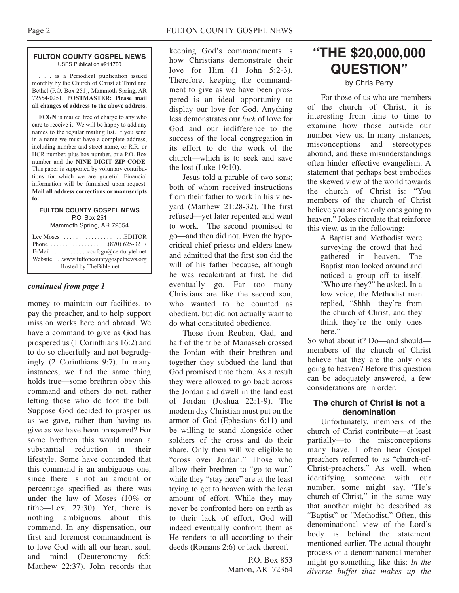#### **FULTON COUNTY GOSPEL NEWS** USPS Publication #211780

. . . is a Periodical publication issued monthly by the Church of Christ at Third and Bethel (P.O. Box 251), Mammoth Spring, AR 72554-0251. **POSTMASTER: Please mail all changes of address to the above address.**

**FCGN** is mailed free of charge to any who care to receive it. We will be happy to add any names to the regular mailing list. If you send in a name we must have a complete address, including number and street name, or R.R. or HCR number, plus box number, or a P.O. Box number and the **NINE DIGIT ZIP CODE**. This paper is supported by voluntary contributions for which we are grateful. Financial information will be furnished upon request. **Mail all address corrections or manuscripts to:**

#### **FULTON COUNTY GOSPEL NEWS** P.O. Box 251

Mammoth Spring, AR 72554

| Lee Moses $\dots\dots\dots\dots\dots\dots$ . EDITOR<br>E-Mail cocfcgn@centurytel.net<br>Website www.fultoncountygospelnews.org |
|--------------------------------------------------------------------------------------------------------------------------------|
| Hosted by TheBible.net                                                                                                         |

# *continued from page 1*

money to maintain our facilities, to pay the preacher, and to help support mission works here and abroad. We have a command to give as God has prospered us (1 Corinthians 16:2) and to do so cheerfully and not begrudgingly (2 Corinthians 9:7). In many instances, we find the same thing holds true—some brethren obey this command and others do not, rather letting those who do foot the bill. Suppose God decided to prosper us as we gave, rather than having us give as we have been prospered? For some brethren this would mean a substantial reduction in their lifestyle. Some have contended that this command is an ambiguous one, since there is not an amount or percentage specified as there was under the law of Moses (10% or tithe—Lev. 27:30). Yet, there is nothing ambiguous about this command. In any dispensation, our first and foremost commandment is to love God with all our heart, soul, and mind (Deuteronomy 6:5; Matthew 22:37). John records that

keeping God's commandments is how Christians demonstrate their love for Him (1 John 5:2-3). Therefore, keeping the commandment to give as we have been prospered is an ideal opportunity to display our love for God. Anything less demonstrates our *lack* of love for God and our indifference to the success of the local congregation in its effort to do the work of the church—which is to seek and save the lost (Luke 19:10).

Jesus told a parable of two sons; both of whom received instructions from their father to work in his vineyard (Matthew 21:28-32). The first refused—yet later repented and went to work. The second promised to go—and then did not. Even the hypocritical chief priests and elders knew and admitted that the first son did the will of his father because, although he was recalcitrant at first, he did eventually go. Far too many Christians are like the second son, who wanted to be counted as obedient, but did not actually want to do what constituted obedience.

Those from Reuben, Gad, and half of the tribe of Manasseh crossed the Jordan with their brethren and together they subdued the land that God promised unto them. As a result they were allowed to go back across the Jordan and dwell in the land east of Jordan (Joshua 22:1-9). The modern day Christian must put on the armor of God (Ephesians 6:11) and be willing to stand alongside other soldiers of the cross and do their share. Only then will we eligible to "cross over Jordan." Those who allow their brethren to "go to war," while they "stay here" are at the least trying to get to heaven with the least amount of effort. While they may never be confronted here on earth as to their lack of effort, God will indeed eventually confront them as He renders to all according to their deeds (Romans 2:6) or lack thereof.

> P.O. Box 853 Marion, AR 72364

# **"THE \$20,000,000 QUESTION"**

## by Chris Perry

For those of us who are members of the church of Christ, it is interesting from time to time to examine how those outside our number view us. In many instances, misconceptions and stereotypes abound, and these misunderstandings often hinder effective evangelism. A statement that perhaps best embodies the skewed view of the world towards the church of Christ is: "You members of the church of Christ believe you are the only ones going to heaven." Jokes circulate that reinforce this view, as in the following:

A Baptist and Methodist were surveying the crowd that had gathered in heaven. The Baptist man looked around and noticed a group off to itself. "Who are they?" he asked. In a low voice, the Methodist man replied, "Shhh—they're from the church of Christ, and they think they're the only ones here."

So what about it? Do—and should members of the church of Christ believe that they are the only ones going to heaven? Before this question can be adequately answered, a few considerations are in order.

# **The church of Christ is not a denomination**

Unfortunately, members of the church of Christ contribute—at least partially—to the misconceptions many have. I often hear Gospel preachers referred to as "church-of-Christ-preachers." As well, when identifying someone with our number, some might say, "He's church-of-Christ," in the same way that another might be described as "Baptist" or "Methodist." Often, this denominational view of the Lord's body is behind the statement mentioned earlier. The actual thought process of a denominational member might go something like this: *In the diverse buffet that makes up the*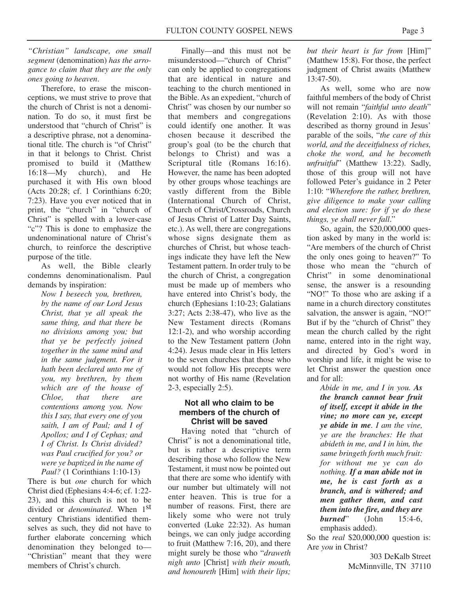*"Christian" landscape, one small segment* (denomination) *has the arrogance to claim that they are the only ones going to heaven*.

Therefore, to erase the misconceptions, we must strive to prove that the church of Christ is not a denomination. To do so, it must first be understood that "church of Christ" is a descriptive phrase, not a denominational title. The church is "of Christ" in that it belongs to Christ. Christ promised to build it (Matthew 16:18—My church), and He purchased it with His own blood (Acts 20:28; cf. 1 Corinthians 6:20; 7:23). Have you ever noticed that in print, the "church" in "church of Christ" is spelled with a lower-case "c"? This is done to emphasize the undenominational nature of Christ's church, to reinforce the descriptive purpose of the title.

As well, the Bible clearly condemns denominationalism. Paul demands by inspiration:

> *Now I beseech you, brethren, by the name of our Lord Jesus Christ, that ye all speak the same thing, and that there be no divisions among you; but that ye be perfectly joined together in the same mind and in the same judgment. For it hath been declared unto me of you, my brethren, by them which are of the house of Chloe, that there are contentions among you. Now this I say, that every one of you saith, I am of Paul; and I of Apollos; and I of Cephas; and I of Christ. Is Christ divided? was Paul crucified for you? or were ye baptized in the name of Paul?* (1 Corinthians 1:10-13)

There is but *one* church for which Christ died (Ephesians 4:4-6; cf. 1:22- 23), and this church is not to be divided or *denominated*. When 1st century Christians identified themselves as such, they did not have to further elaborate concerning which denomination they belonged to— "Christian" meant that they were members of Christ's church.

Finally—and this must not be misunderstood—"church of Christ" can only be applied to congregations that are identical in nature and teaching to the church mentioned in the Bible. As an expedient, "church of Christ" was chosen by our number so that members and congregations could identify one another. It was chosen because it described the group's goal (to be the church that belongs to Christ) and was a Scriptural title (Romans 16:16). However, the name has been adopted by other groups whose teachings are vastly different from the Bible (International Church of Christ, Church of Christ/Crossroads, Church of Jesus Christ of Latter Day Saints, etc.). As well, there are congregations whose signs designate them as churches of Christ, but whose teachings indicate they have left the New Testament pattern. In order truly to be the church of Christ, a congregation must be made up of members who have entered into Christ's body, the church (Ephesians 1:10-23; Galatians 3:27; Acts 2:38-47), who live as the New Testament directs (Romans 12:1-2), and who worship according to the New Testament pattern (John 4:24). Jesus made clear in His letters to the seven churches that those who would not follow His precepts were not worthy of His name (Revelation 2-3, especially 2:5).

## **Not all who claim to be members of the church of Christ will be saved**

Having noted that "church of Christ" is not a denominational title, but is rather a descriptive term describing those who follow the New Testament, it must now be pointed out that there are some who identify with our number but ultimately will not enter heaven. This is true for a number of reasons. First, there are likely some who were not truly converted (Luke 22:32). As human beings, we can only judge according to fruit (Matthew 7:16, 20), and there might surely be those who "*draweth nigh unto* [Christ] *with their mouth, and honoureth* [Him] *with their lips;*

*but their heart is far from* [Him]" (Matthew 15:8). For those, the perfect judgment of Christ awaits (Matthew 13:47-50).

As well, some who are now faithful members of the body of Christ will not remain "*faithful unto death*" (Revelation 2:10). As with those described as thorny ground in Jesus' parable of the soils, "*the care of this world, and the deceitfulness of riches, choke the word, and he becometh unfruitful*" (Matthew 13:22). Sadly, those of this group will not have followed Peter's guidance in 2 Peter 1:10: "*Wherefore the rather, brethren, give diligence to make your calling and election sure: for if ye do these things, ye shall never fall*."

So, again, the \$20,000,000 question asked by many in the world is: "Are members of the church of Christ the only ones going to heaven?" To those who mean the "church of Christ" in some denominational sense, the answer is a resounding "NO!" To those who are asking if a name in a church directory constitutes salvation, the answer is again, "NO!" But if by the "church of Christ" they mean the church called by the right name, entered into in the right way, and directed by God's word in worship and life, it might be wise to let Christ answer the question once and for all:

*Abide in me, and I in you. As the branch cannot bear fruit of itself, except it abide in the vine; no more can ye, except ye abide in me. I am the vine, ye are the branches: He that abideth in me, and I in him, the same bringeth forth much fruit: for without me ye can do nothing. If a man abide not in me, he is cast forth as a branch, and is withered; and men gather them, and cast them into the fire, and they are burned*" (John 15:4-6, emphasis added).

So the *real* \$20,000,000 question is: Are *you* in Christ?

> 303 DeKalb Street McMinnville, TN 37110